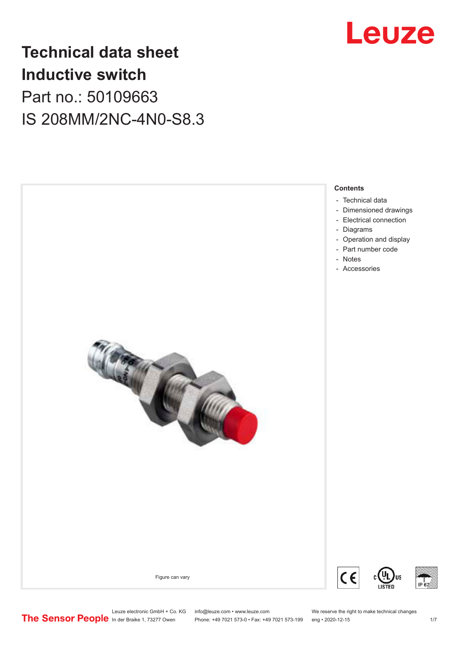

### **Technical data sheet Inductive switch** Part no.: 50109663 IS 208MM/2NC-4N0-S8.3

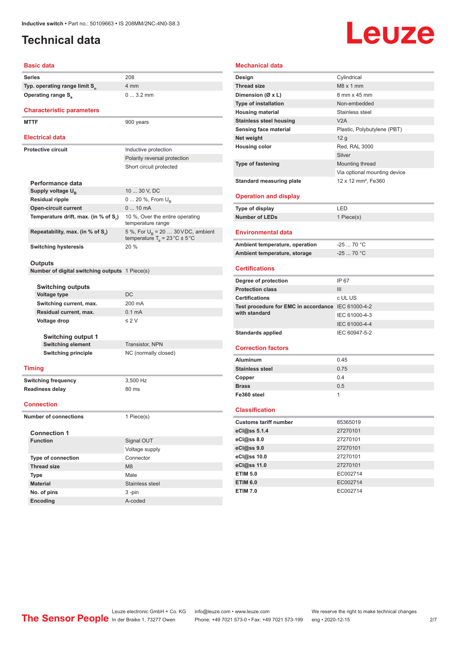### <span id="page-1-0"></span>**Technical data**

## Leuze

| <b>Basic data</b>                              |                                                                                           |
|------------------------------------------------|-------------------------------------------------------------------------------------------|
| Series                                         | 208                                                                                       |
| Typ. operating range limit S <sub>n</sub>      | 4 mm                                                                                      |
| <b>Operating range S</b> <sub>a</sub>          | $03.2$ mm                                                                                 |
| <b>Characteristic parameters</b>               |                                                                                           |
| <b>MTTF</b>                                    | 900 years                                                                                 |
| <b>Electrical data</b>                         |                                                                                           |
| <b>Protective circuit</b>                      | Inductive protection                                                                      |
|                                                | Polarity reversal protection                                                              |
|                                                | Short circuit protected                                                                   |
| Performance data                               |                                                                                           |
| Supply voltage U <sub>B</sub>                  | 10  30 V, DC                                                                              |
| <b>Residual ripple</b>                         | 0  20 %, From U <sub>B</sub>                                                              |
| <b>Open-circuit current</b>                    | $010$ mA                                                                                  |
| Temperature drift, max. (in % of S,)           | 10 %, Over the entire operating<br>temperature range                                      |
| Repeatability, max. (in % of S.)               | 5 %, For $U_R$ = 20  30 V DC, ambient<br>temperature $T_a = 23 \degree C \pm 5 \degree C$ |
| <b>Switching hysteresis</b>                    | 20 %                                                                                      |
| Outputs                                        |                                                                                           |
| Number of digital switching outputs 1 Piece(s) |                                                                                           |
| <b>Switching outputs</b>                       |                                                                                           |
| <b>Voltage type</b>                            | DC                                                                                        |
| Switching current, max.                        | 200 mA                                                                                    |
| Residual current, max.                         | 0.1 mA                                                                                    |
| Voltage drop                                   | $\leq 2$ V                                                                                |
| Switching output 1                             |                                                                                           |
| <b>Switching element</b>                       | Transistor, NPN                                                                           |
| <b>Switching principle</b>                     | NC (normally closed)                                                                      |
|                                                |                                                                                           |
| <b>Timing</b>                                  |                                                                                           |
| <b>Switching frequency</b>                     | 3,500 Hz                                                                                  |
| <b>Readiness delay</b>                         | 80 ms                                                                                     |
| <b>Connection</b>                              |                                                                                           |
| <b>Number of connections</b>                   | 1 Piece(s)                                                                                |
| <b>Connection 1</b>                            |                                                                                           |
| <b>Function</b>                                | Signal OUT                                                                                |
|                                                | Voltage supply                                                                            |
| <b>Type of connection</b>                      | Connector                                                                                 |
| <b>Thread size</b>                             | M <sub>8</sub>                                                                            |
| Type                                           | Male                                                                                      |
| <b>Material</b>                                | Stainless steel                                                                           |

#### **Mechanical data Design** Cylindrical **Thread size** M8 x 1 mm **Dimension (Ø x L)** 8 mm x 45 mm **Type of installation** Non-embedded **Housing material** Stainless steel **Stainless steel housing** V2A **Sensing face material** Plastic, Polybutylene (PBT) **Net weight** 12 g **Housing color** Red, RAL 3000 Silver **Type of fastening** Mounting thread Via optional mounting device **Standard measuring plate** 12 x 12 mm<sup>2</sup>, Fe360 **Operation and display Type of display** LED **Number of LEDs** 1 Piece(s) **Environmental data** Ambient temperature, operation -25 ... 70 °C **Ambient temperature, storage** -25 ... 70 °C **Certifications Degree of protection** IP 67 **Protection class** III **Certifications** c UL US **Test procedure for EMC in accordance**  IEC 61000-4-2 **with standard** IEC 61000-4-3 IEC 61000-4-4 Standards applied<br>
IEC 60947-5-2 **Correction factors Aluminum** 0.45 **Stainless steel** 0.75 **Copper** 0.4 **Brass** 0.5 **Fe360 steel** 1 **Classification Customs tariff number** 85365019 **eCl@ss 5.1.4** 27270101 **eCl@ss 8.0** 27270101 **eCl@ss 9.0** 27270101 **eCl@ss 10.0** 27270101 **eCl@ss 11.0** 27270101 **ETIM 5.0** EC002714 **ETIM 6.0** EC002714

**No. of pins** 3 -pin **Encoding** A-coded **ETIM 7.0** EC002714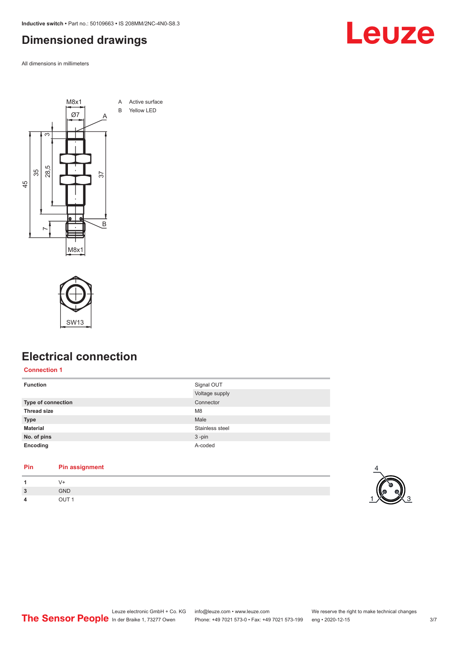<span id="page-2-0"></span>**Inductive switch •** Part no.: 50109663 **•** IS 208MM/2NC-4N0-S8.3

### **Dimensioned drawings**

All dimensions in millimeters





### **Electrical connection**

**Connection 1**

| <b>Function</b>           | Signal OUT      |
|---------------------------|-----------------|
|                           | Voltage supply  |
| <b>Type of connection</b> | Connector       |
| <b>Thread size</b>        | M <sub>8</sub>  |
| <b>Type</b>               | Male            |
| <b>Material</b>           | Stainless steel |
| No. of pins               | $3 - pin$       |
| Encoding                  | A-coded         |

#### **Pin Pin assignment**

|                               |            | $\overline{\phantom{a}}$ |
|-------------------------------|------------|--------------------------|
| ຳ<br>$\overline{\phantom{a}}$ | GND        |                          |
| 4                             | ---<br>___ |                          |



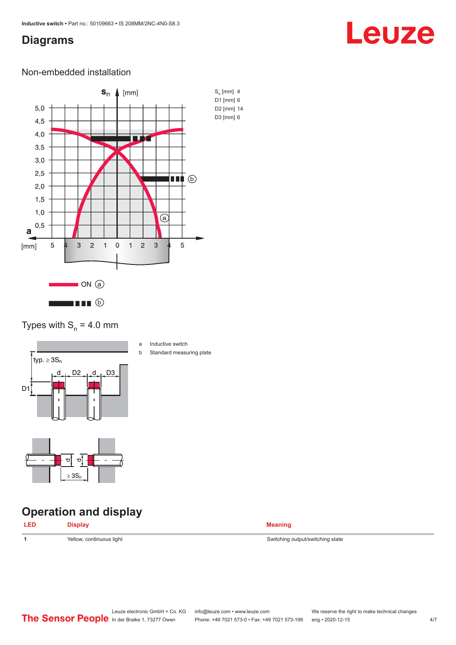### <span id="page-3-0"></span>**Diagrams**

## Leuze

### Non-embedded installation



### Types with  $S_n = 4.0$  mm



- a Inductive switch
- b Standard measuring plate

# $> 3S_1$

ರ

 $\sigma$ 

### **Operation and display**

| LED | <b>Display</b> | Meaning |
|-----|----------------|---------|
|     |                |         |

**1** Yellow, continuous light Switching state Switching output/switching state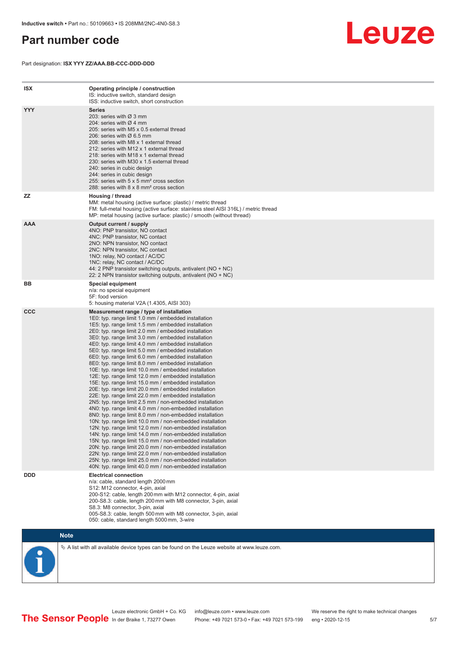### <span id="page-4-0"></span>**Part number code**

Part designation: **ISX YYY ZZ/AAA.BB-CCC-DDD-DDD**



| <b>ISX</b> | Operating principle / construction<br>IS: inductive switch, standard design<br>ISS: inductive switch, short construction                                                                                                                                                                                                                                                                                                                                                                                                                                                                                                                                                                                                                                                                                                                                                                                                                                                                                                                                                                                                                                                                                                                                                                                                                                                                                                                                                                          |
|------------|---------------------------------------------------------------------------------------------------------------------------------------------------------------------------------------------------------------------------------------------------------------------------------------------------------------------------------------------------------------------------------------------------------------------------------------------------------------------------------------------------------------------------------------------------------------------------------------------------------------------------------------------------------------------------------------------------------------------------------------------------------------------------------------------------------------------------------------------------------------------------------------------------------------------------------------------------------------------------------------------------------------------------------------------------------------------------------------------------------------------------------------------------------------------------------------------------------------------------------------------------------------------------------------------------------------------------------------------------------------------------------------------------------------------------------------------------------------------------------------------------|
| <b>YYY</b> | <b>Series</b><br>203: series with Ø 3 mm<br>204: series with $\varnothing$ 4 mm<br>205: series with M5 x 0.5 external thread<br>206: series with $\varnothing$ 6.5 mm<br>208: series with M8 x 1 external thread<br>212: series with M12 x 1 external thread<br>218: series with M18 x 1 external thread<br>230: series with M30 x 1.5 external thread<br>240: series in cubic design<br>244: series in cubic design<br>255: series with 5 x 5 mm <sup>2</sup> cross section<br>288: series with 8 x 8 mm <sup>2</sup> cross section                                                                                                                                                                                                                                                                                                                                                                                                                                                                                                                                                                                                                                                                                                                                                                                                                                                                                                                                                              |
| ZZ         | Housing / thread<br>MM: metal housing (active surface: plastic) / metric thread<br>FM: full-metal housing (active surface: stainless steel AISI 316L) / metric thread<br>MP: metal housing (active surface: plastic) / smooth (without thread)                                                                                                                                                                                                                                                                                                                                                                                                                                                                                                                                                                                                                                                                                                                                                                                                                                                                                                                                                                                                                                                                                                                                                                                                                                                    |
| <b>AAA</b> | Output current / supply<br>4NO: PNP transistor, NO contact<br>4NC: PNP transistor, NC contact<br>2NO: NPN transistor, NO contact<br>2NC: NPN transistor, NC contact<br>1NO: relay, NO contact / AC/DC<br>1NC: relay, NC contact / AC/DC<br>44: 2 PNP transistor switching outputs, antivalent (NO + NC)<br>22: 2 NPN transistor switching outputs, antivalent (NO + NC)                                                                                                                                                                                                                                                                                                                                                                                                                                                                                                                                                                                                                                                                                                                                                                                                                                                                                                                                                                                                                                                                                                                           |
| BB         | <b>Special equipment</b><br>n/a: no special equipment<br>5F: food version<br>5: housing material V2A (1.4305, AISI 303)                                                                                                                                                                                                                                                                                                                                                                                                                                                                                                                                                                                                                                                                                                                                                                                                                                                                                                                                                                                                                                                                                                                                                                                                                                                                                                                                                                           |
| <b>CCC</b> | Measurement range / type of installation<br>1E0: typ. range limit 1.0 mm / embedded installation<br>1E5: typ. range limit 1.5 mm / embedded installation<br>2E0: typ. range limit 2.0 mm / embedded installation<br>3E0: typ. range limit 3.0 mm / embedded installation<br>4E0: typ. range limit 4.0 mm / embedded installation<br>5E0: typ. range limit 5.0 mm / embedded installation<br>6E0: typ. range limit 6.0 mm / embedded installation<br>8E0: typ. range limit 8.0 mm / embedded installation<br>10E: typ. range limit 10.0 mm / embedded installation<br>12E: typ. range limit 12.0 mm / embedded installation<br>15E: typ. range limit 15.0 mm / embedded installation<br>20E: typ. range limit 20.0 mm / embedded installation<br>22E: typ. range limit 22.0 mm / embedded installation<br>2N5: typ. range limit 2.5 mm / non-embedded installation<br>4N0: typ. range limit 4.0 mm / non-embedded installation<br>8N0: typ. range limit 8.0 mm / non-embedded installation<br>10N: typ. range limit 10.0 mm / non-embedded installation<br>12N: typ. range limit 12.0 mm / non-embedded installation<br>14N: typ. range limit 14.0 mm / non-embedded installation<br>15N: typ. range limit 15.0 mm / non-embedded installation<br>20N: typ. range limit 20.0 mm / non-embedded installation<br>22N: typ. range limit 22.0 mm / non-embedded installation<br>25N: typ. range limit 25.0 mm / non-embedded installation<br>40N: typ. range limit 40.0 mm / non-embedded installation |
| <b>DDD</b> | <b>Electrical connection</b><br>n/a: cable, standard length 2000 mm<br>S12: M12 connector, 4-pin, axial<br>200-S12: cable, length 200 mm with M12 connector, 4-pin, axial<br>200-S8.3: cable, length 200 mm with M8 connector, 3-pin, axial<br>S8.3: M8 connector, 3-pin, axial<br>005-S8.3: cable, length 500 mm with M8 connector, 3-pin, axial<br>050: cable, standard length 5000 mm, 3-wire                                                                                                                                                                                                                                                                                                                                                                                                                                                                                                                                                                                                                                                                                                                                                                                                                                                                                                                                                                                                                                                                                                  |

**Note**

 $\%$  A list with all available device types can be found on the Leuze website at www.leuze.com.

Leuze electronic GmbH + Co. KG info@leuze.com • www.leuze.com We reserve the right to make technical changes In der Braike 1, 73277 Owen Phone: +49 7021 573-0 • Fax: +49 7021 573-199 eng • 2020-12-15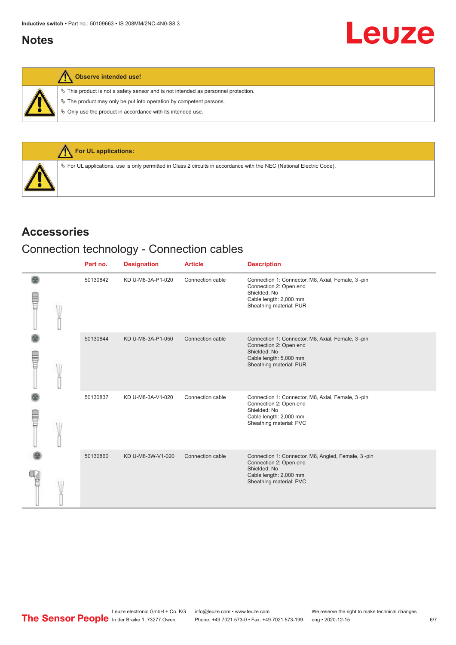### <span id="page-5-0"></span>**Notes**

 $\%$  This product is not a safety sensor and is not intended as personnel protection.

 $\&$  The product may only be put into operation by competent persons.

 $\%$  Only use the product in accordance with its intended use.



### **Accessories**

### Connection technology - Connection cables

|             |  | Part no. | <b>Designation</b> | <b>Article</b>   | <b>Description</b>                                                                                                                                |
|-------------|--|----------|--------------------|------------------|---------------------------------------------------------------------------------------------------------------------------------------------------|
| <b>TILL</b> |  | 50130842 | KD U-M8-3A-P1-020  | Connection cable | Connection 1: Connector, M8, Axial, Female, 3-pin<br>Connection 2: Open end<br>Shielded: No<br>Cable length: 2,000 mm<br>Sheathing material: PUR  |
| <b>TILL</b> |  | 50130844 | KD U-M8-3A-P1-050  | Connection cable | Connection 1: Connector, M8, Axial, Female, 3-pin<br>Connection 2: Open end<br>Shielded: No<br>Cable length: 5,000 mm<br>Sheathing material: PUR  |
| E           |  | 50130837 | KD U-M8-3A-V1-020  | Connection cable | Connection 1: Connector, M8, Axial, Female, 3-pin<br>Connection 2: Open end<br>Shielded: No<br>Cable length: 2,000 mm<br>Sheathing material: PVC  |
|             |  | 50130860 | KD U-M8-3W-V1-020  | Connection cable | Connection 1: Connector, M8, Angled, Female, 3-pin<br>Connection 2: Open end<br>Shielded: No<br>Cable length: 2,000 mm<br>Sheathing material: PVC |

Leuze